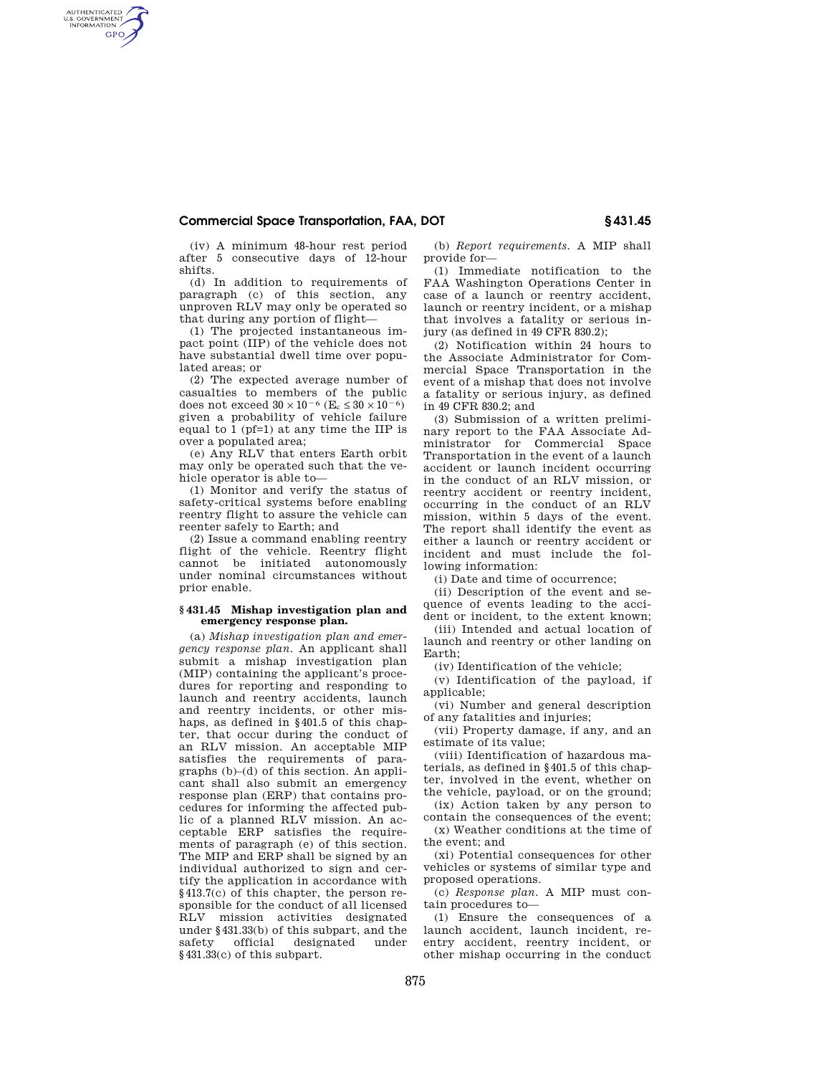## **Commercial Space Transportation, FAA, DOT § 431.45**

(iv) A minimum 48-hour rest period after 5 consecutive days of 12-hour shifts.

AUTHENTICATED<br>U.S. GOVERNMENT<br>INFORMATION **GPO** 

> (d) In addition to requirements of paragraph (c) of this section, any unproven RLV may only be operated so that during any portion of flight—

> (1) The projected instantaneous impact point (IIP) of the vehicle does not have substantial dwell time over populated areas; or

> (2) The expected average number of casualties to members of the public does not exceed  $30 \times 10^{-6}$  (E<sub>c</sub>  $\leq 30 \times 10^{-6}$ ) given a probability of vehicle failure equal to 1 (pf=1) at any time the IIP is over a populated area;

> (e) Any RLV that enters Earth orbit may only be operated such that the vehicle operator is able to—

> (1) Monitor and verify the status of safety-critical systems before enabling reentry flight to assure the vehicle can reenter safely to Earth; and

> (2) Issue a command enabling reentry flight of the vehicle. Reentry flight cannot be initiated autonomously under nominal circumstances without prior enable.

### **§ 431.45 Mishap investigation plan and emergency response plan.**

(a) *Mishap investigation plan and emergency response plan.* An applicant shall submit a mishap investigation plan (MIP) containing the applicant's procedures for reporting and responding to launch and reentry accidents, launch and reentry incidents, or other mishaps, as defined in §401.5 of this chapter, that occur during the conduct of an RLV mission. An acceptable MIP satisfies the requirements of paragraphs (b)–(d) of this section. An applicant shall also submit an emergency response plan (ERP) that contains procedures for informing the affected public of a planned RLV mission. An acceptable ERP satisfies the requirements of paragraph (e) of this section. The MIP and ERP shall be signed by an individual authorized to sign and certify the application in accordance with §413.7(c) of this chapter, the person responsible for the conduct of all licensed RLV mission activities designated under §431.33(b) of this subpart, and the safety official designated under safety official designated under §431.33(c) of this subpart.

(b) *Report requirements.* A MIP shall provide for—

(1) Immediate notification to the FAA Washington Operations Center in case of a launch or reentry accident, launch or reentry incident, or a mishap that involves a fatality or serious injury (as defined in 49 CFR 830.2);

(2) Notification within 24 hours to the Associate Administrator for Commercial Space Transportation in the event of a mishap that does not involve a fatality or serious injury, as defined in 49 CFR 830.2; and

(3) Submission of a written preliminary report to the FAA Associate Administrator for Commercial Space Transportation in the event of a launch accident or launch incident occurring in the conduct of an RLV mission, or reentry accident or reentry incident, occurring in the conduct of an RLV mission, within 5 days of the event. The report shall identify the event as either a launch or reentry accident or incident and must include the following information:

(i) Date and time of occurrence;

(ii) Description of the event and sequence of events leading to the accident or incident, to the extent known;

(iii) Intended and actual location of launch and reentry or other landing on Earth;

(iv) Identification of the vehicle;

(v) Identification of the payload, if applicable;

(vi) Number and general description of any fatalities and injuries;

(vii) Property damage, if any, and an estimate of its value;

(viii) Identification of hazardous materials, as defined in §401.5 of this chapter, involved in the event, whether on the vehicle, payload, or on the ground;

(ix) Action taken by any person to contain the consequences of the event; (x) Weather conditions at the time of

the event; and (xi) Potential consequences for other vehicles or systems of similar type and proposed operations.

(c) *Response plan.* A MIP must contain procedures to—

(1) Ensure the consequences of a launch accident, launch incident, reentry accident, reentry incident, or other mishap occurring in the conduct